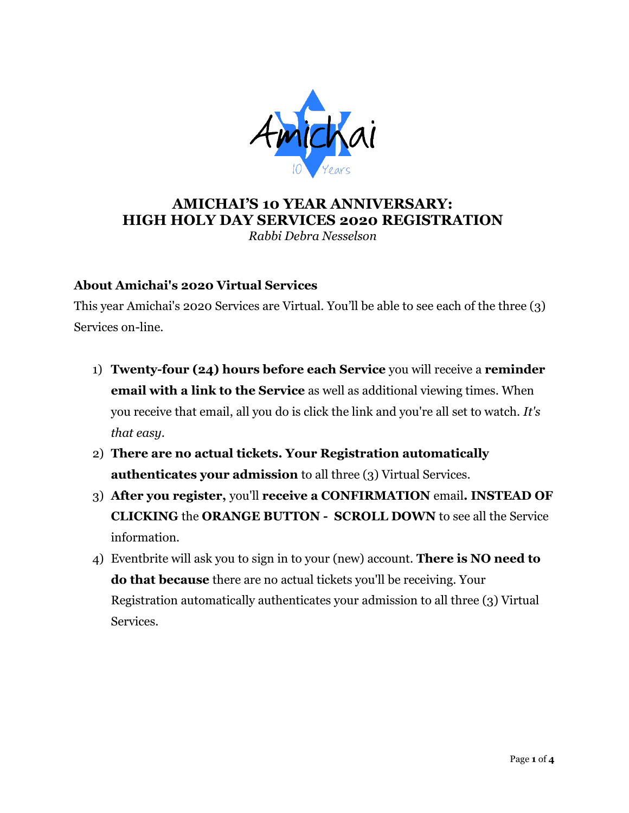

# **AMICHAI'S 10 YEAR ANNIVERSARY: HIGH HOLY DAY SERVICES 2020 REGISTRATION**

*Rabbi Debra Nesselson*

## **About Amichai's 2020 Virtual Services**

This year Amichai's 2020 Services are Virtual. You'll be able to see each of the three (3) Services on-line.

- 1) **Twenty-four (24) hours before each Service** you will receive a **reminder email with a link to the Service** as well as additional viewing times. When you receive that email, all you do is click the link and you're all set to watch. *It's that easy*.
- 2) **There are no actual tickets. Your Registration automatically authenticates your admission** to all three (3) Virtual Services.
- 3) **After you register,** you'll **receive a CONFIRMATION** email**. INSTEAD OF CLICKING** the **ORANGE BUTTON - SCROLL DOWN** to see all the Service information.
- 4) Eventbrite will ask you to sign in to your (new) account. **There is NO need to do that because** there are no actual tickets you'll be receiving. Your Registration automatically authenticates your admission to all three (3) Virtual Services.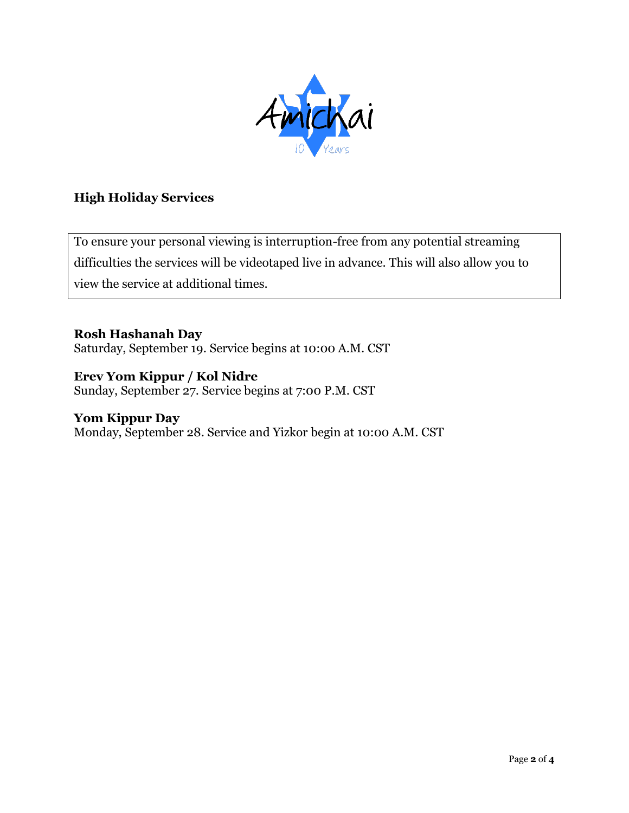

### **High Holiday Services**

To ensure your personal viewing is interruption-free from any potential streaming difficulties the services will be videotaped live in advance. This will also allow you to view the service at additional times.

**Rosh Hashanah Day**  Saturday, September 19. Service begins at 10:00 A.M. CST

#### **Erev Yom Kippur / Kol Nidre**  Sunday, September 27. Service begins at 7:00 P.M. CST

#### **Yom Kippur Day**  Monday, September 28. Service and Yizkor begin at 10:00 A.M. CST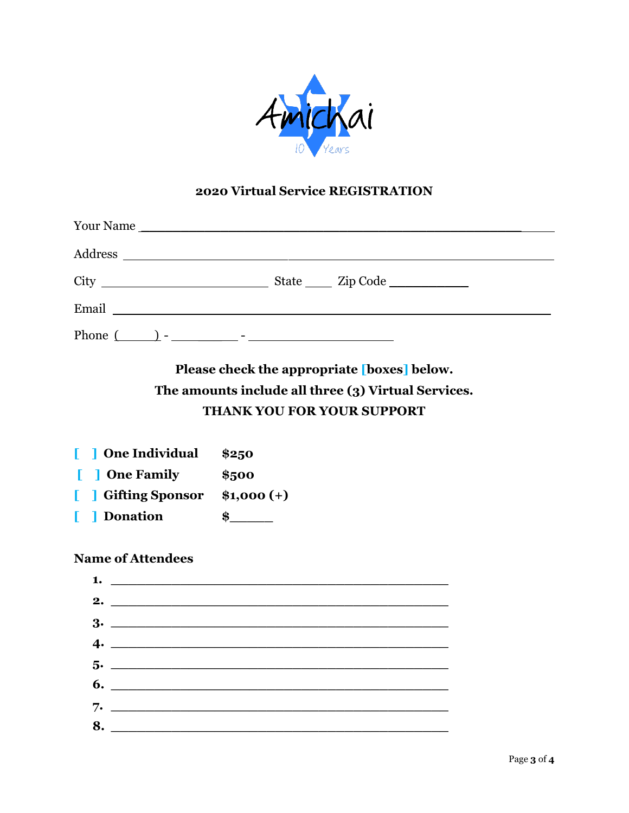

## **2020 Virtual Service REGISTRATION**

|  | State ______ Zip Code ______________ |  |
|--|--------------------------------------|--|
|  |                                      |  |
|  |                                      |  |

**Please check the appropriate [boxes] below. The amounts include all three (3) Virtual Services. THANK YOU FOR YOUR SUPPORT** 

**[ ] One Individual \$250 [ ] One Family \$500 [ ] Gifting Sponsor \$1,000 (+) [ ] Donation \$\_\_\_\_\_**

#### **Name of Attendees**

| 2. $\qquad \qquad$            |  |
|-------------------------------|--|
|                               |  |
| $4.$ $\overline{\phantom{a}}$ |  |
|                               |  |
|                               |  |
|                               |  |
| 8.                            |  |
|                               |  |